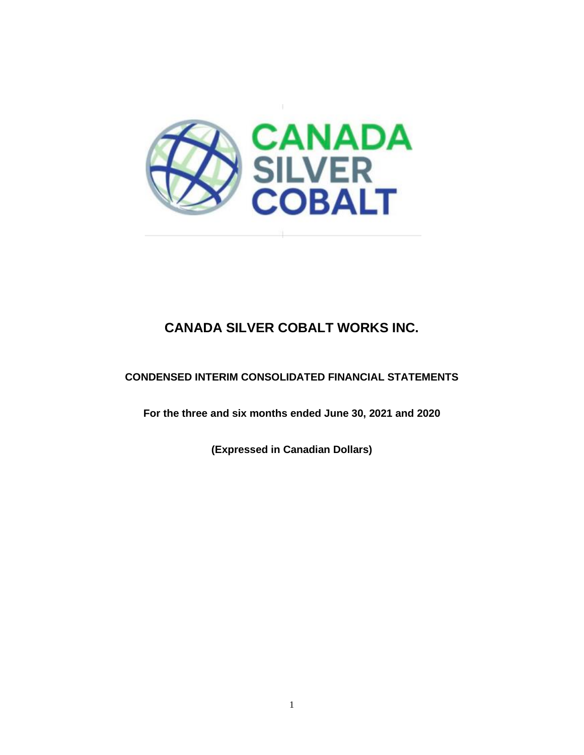

## **CONDENSED INTERIM CONSOLIDATED FINANCIAL STATEMENTS**

**For the three and six months ended June 30, 2021 and 2020**

**(Expressed in Canadian Dollars)**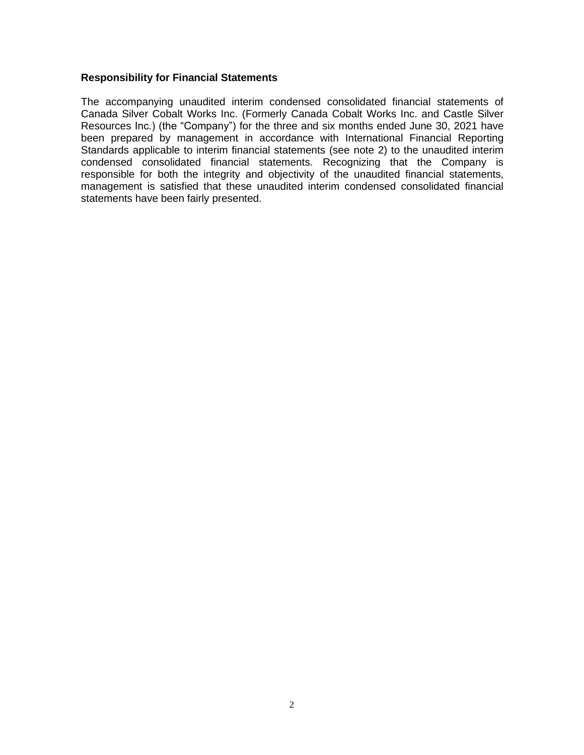#### **Responsibility for Financial Statements**

The accompanying unaudited interim condensed consolidated financial statements of Canada Silver Cobalt Works Inc. (Formerly Canada Cobalt Works Inc. and Castle Silver Resources Inc.) (the "Company") for the three and six months ended June 30, 2021 have been prepared by management in accordance with International Financial Reporting Standards applicable to interim financial statements (see note 2) to the unaudited interim condensed consolidated financial statements. Recognizing that the Company is responsible for both the integrity and objectivity of the unaudited financial statements, management is satisfied that these unaudited interim condensed consolidated financial statements have been fairly presented.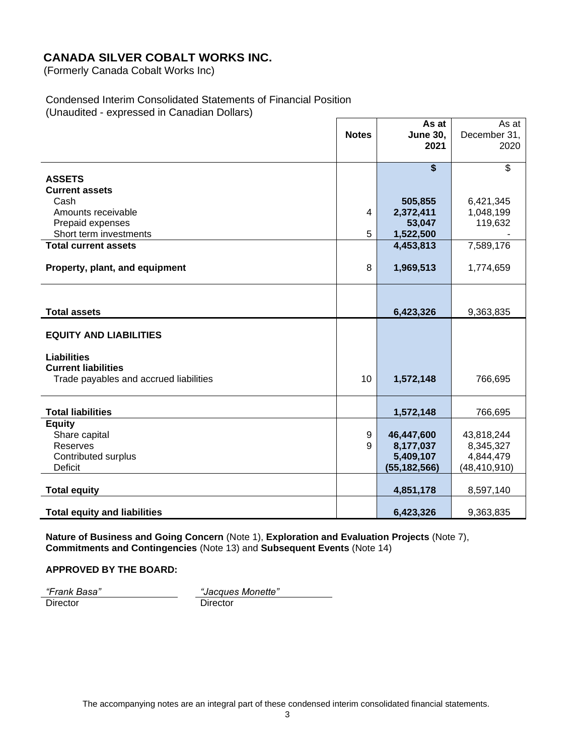(Formerly Canada Cobalt Works Inc)

#### Condensed Interim Consolidated Statements of Financial Position (Unaudited - expressed in Canadian Dollars)

|                                        |              | As at                   | As at          |
|----------------------------------------|--------------|-------------------------|----------------|
|                                        | <b>Notes</b> | <b>June 30,</b>         | December 31,   |
|                                        |              | 2021                    | 2020           |
|                                        |              |                         |                |
|                                        |              | $\overline{\mathbf{s}}$ | \$             |
| <b>ASSETS</b>                          |              |                         |                |
| <b>Current assets</b>                  |              |                         |                |
| Cash                                   |              | 505,855                 | 6,421,345      |
| Amounts receivable                     | 4            | 2,372,411               | 1,048,199      |
| Prepaid expenses                       |              | 53,047                  | 119,632        |
| Short term investments                 | 5            | 1,522,500               |                |
| <b>Total current assets</b>            |              | 4,453,813               | 7,589,176      |
|                                        |              |                         |                |
|                                        | 8            |                         |                |
| Property, plant, and equipment         |              | 1,969,513               | 1,774,659      |
|                                        |              |                         |                |
|                                        |              |                         |                |
|                                        |              |                         |                |
| <b>Total assets</b>                    |              | 6,423,326               | 9,363,835      |
|                                        |              |                         |                |
| <b>EQUITY AND LIABILITIES</b>          |              |                         |                |
|                                        |              |                         |                |
| <b>Liabilities</b>                     |              |                         |                |
| <b>Current liabilities</b>             |              |                         |                |
| Trade payables and accrued liabilities | 10           | 1,572,148               | 766,695        |
|                                        |              |                         |                |
|                                        |              |                         |                |
| <b>Total liabilities</b>               |              | 1,572,148               | 766,695        |
| <b>Equity</b>                          |              |                         |                |
| Share capital                          | 9            | 46,447,600              | 43,818,244     |
| Reserves                               | 9            | 8,177,037               | 8,345,327      |
| Contributed surplus                    |              | 5,409,107               | 4,844,479      |
| <b>Deficit</b>                         |              | (55, 182, 566)          | (48, 410, 910) |
|                                        |              |                         |                |
| <b>Total equity</b>                    |              | 4,851,178               | 8,597,140      |
|                                        |              |                         |                |
| <b>Total equity and liabilities</b>    |              | 6,423,326               | 9,363,835      |

**Nature of Business and Going Concern** (Note 1), **Exploration and Evaluation Projects** (Note 7), **Commitments and Contingencies** (Note 13) and **Subsequent Events** (Note 14)

#### **APPROVED BY THE BOARD:**

*"Frank Basa" "Jacques Monette"* Director Director Director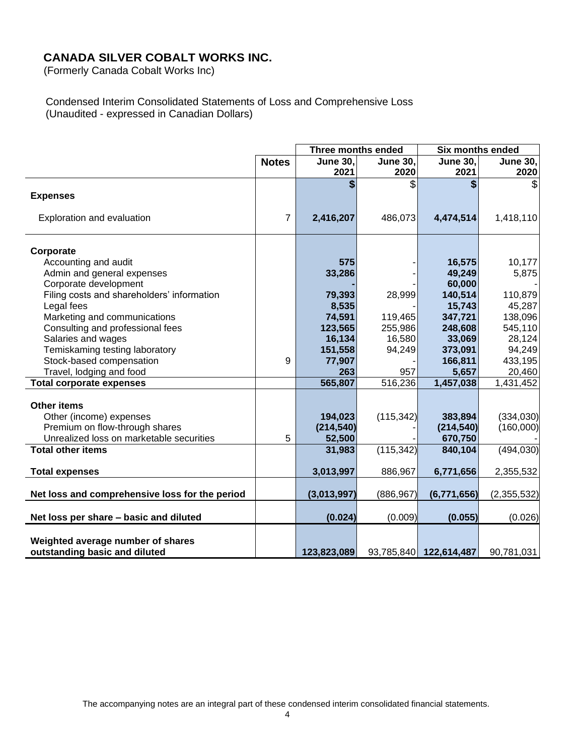(Formerly Canada Cobalt Works Inc)

Condensed Interim Consolidated Statements of Loss and Comprehensive Loss (Unaudited - expressed in Canadian Dollars)

|                                                            |                | Three months ended |                  | <b>Six months ended</b> |                  |  |
|------------------------------------------------------------|----------------|--------------------|------------------|-------------------------|------------------|--|
|                                                            | <b>Notes</b>   | <b>June 30.</b>    | <b>June 30.</b>  | <b>June 30,</b>         | <b>June 30,</b>  |  |
|                                                            |                | 2021               | 2020             | 2021                    | 2020             |  |
|                                                            |                |                    | \$               |                         | S                |  |
| <b>Expenses</b>                                            |                |                    |                  |                         |                  |  |
| Exploration and evaluation                                 | $\overline{7}$ | 2,416,207          | 486,073          | 4,474,514               | 1,418,110        |  |
| Corporate                                                  |                |                    |                  |                         |                  |  |
| Accounting and audit                                       |                | 575                |                  | 16,575                  | 10,177           |  |
| Admin and general expenses                                 |                | 33,286             |                  | 49,249                  | 5,875            |  |
| Corporate development                                      |                |                    |                  | 60,000                  |                  |  |
| Filing costs and shareholders' information                 |                | 79,393             | 28,999           | 140,514                 | 110,879          |  |
| Legal fees                                                 |                | 8,535              |                  | 15,743                  | 45,287           |  |
| Marketing and communications                               |                | 74,591             | 119,465          | 347,721                 | 138,096          |  |
| Consulting and professional fees                           |                | 123,565            | 255,986          | 248,608                 | 545,110          |  |
| Salaries and wages                                         |                | 16,134<br>151,558  | 16,580<br>94,249 | 33,069                  | 28,124<br>94,249 |  |
| Temiskaming testing laboratory<br>Stock-based compensation | 9              | 77,907             |                  | 373,091<br>166,811      | 433,195          |  |
| Travel, lodging and food                                   |                | 263                | 957              | 5,657                   | 20,460           |  |
| <b>Total corporate expenses</b>                            |                | 565,807            | 516,236          | 1,457,038               | 1,431,452        |  |
|                                                            |                |                    |                  |                         |                  |  |
| <b>Other items</b>                                         |                |                    |                  |                         |                  |  |
| Other (income) expenses                                    |                | 194,023            | (115, 342)       | 383,894                 | (334,030)        |  |
| Premium on flow-through shares                             |                | (214, 540)         |                  | (214, 540)              | (160,000)        |  |
| Unrealized loss on marketable securities                   | 5              | 52,500             |                  | 670,750                 |                  |  |
| <b>Total other items</b>                                   |                | 31,983             | (115, 342)       | 840,104                 | (494, 030)       |  |
| <b>Total expenses</b>                                      |                | 3,013,997          | 886,967          | 6,771,656               | 2,355,532        |  |
| Net loss and comprehensive loss for the period             |                | (3,013,997)        | (886, 967)       | (6,771,656)             | (2,355,532)      |  |
|                                                            |                |                    |                  |                         |                  |  |
| Net loss per share - basic and diluted                     |                | (0.024)            | (0.009)          | (0.055)                 | (0.026)          |  |
| Weighted average number of shares                          |                |                    |                  |                         |                  |  |
| outstanding basic and diluted                              |                | 123,823,089        |                  | 93,785,840 122,614,487  | 90,781,031       |  |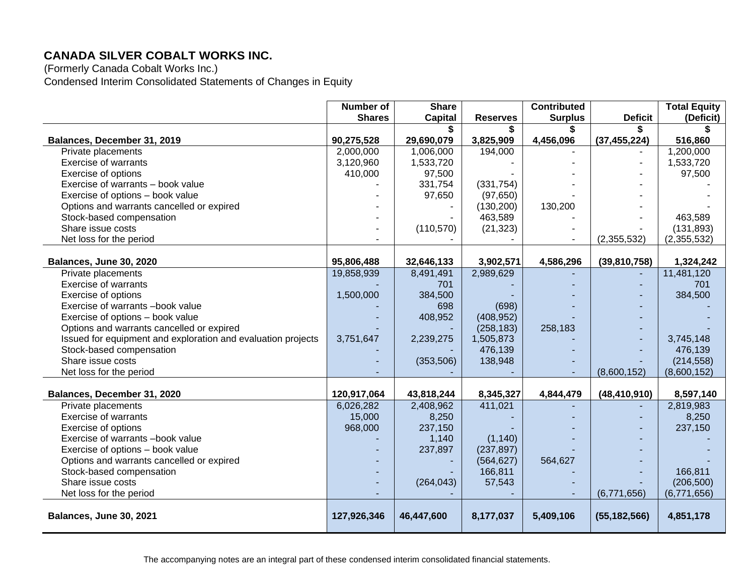(Formerly Canada Cobalt Works Inc.) Condensed Interim Consolidated Statements of Changes in Equity

|                                                              | Number of     | <b>Share</b>   |                 | <b>Contributed</b> |                | <b>Total Equity</b> |
|--------------------------------------------------------------|---------------|----------------|-----------------|--------------------|----------------|---------------------|
|                                                              | <b>Shares</b> | <b>Capital</b> | <b>Reserves</b> | <b>Surplus</b>     | <b>Deficit</b> | (Deficit)           |
|                                                              |               |                |                 |                    |                | S                   |
| Balances, December 31, 2019                                  | 90,275,528    | 29,690,079     | 3,825,909       | 4,456,096          | (37, 455, 224) | 516,860             |
| Private placements                                           | 2,000,000     | 1,006,000      | 194,000         |                    |                | 1,200,000           |
| <b>Exercise of warrants</b>                                  | 3,120,960     | 1,533,720      |                 |                    |                | 1,533,720           |
| Exercise of options                                          | 410,000       | 97,500         |                 |                    |                | 97,500              |
| Exercise of warrants - book value                            |               | 331,754        | (331, 754)      |                    |                |                     |
| Exercise of options - book value                             |               | 97,650         | (97, 650)       |                    |                |                     |
| Options and warrants cancelled or expired                    |               |                | (130, 200)      | 130,200            |                |                     |
| Stock-based compensation                                     |               |                | 463,589         |                    |                | 463,589             |
| Share issue costs                                            |               | (110, 570)     | (21, 323)       |                    |                | (131, 893)          |
| Net loss for the period                                      |               |                |                 |                    | (2,355,532)    | (2,355,532)         |
|                                                              |               |                |                 |                    |                |                     |
| Balances, June 30, 2020                                      | 95,806,488    | 32,646,133     | 3,902,571       | 4,586,296          | (39, 810, 758) | 1,324,242           |
| Private placements                                           | 19,858,939    | 8,491,491      | 2,989,629       |                    |                | 11,481,120          |
| <b>Exercise of warrants</b>                                  |               | 701            |                 |                    |                | 701                 |
| Exercise of options                                          | 1,500,000     | 384,500        |                 |                    |                | 384,500             |
| Exercise of warrants -book value                             |               | 698            | (698)           |                    |                |                     |
| Exercise of options - book value                             |               | 408,952        | (408, 952)      |                    |                |                     |
| Options and warrants cancelled or expired                    |               |                | (258, 183)      | 258,183            |                |                     |
| Issued for equipment and exploration and evaluation projects | 3,751,647     | 2,239,275      | 1,505,873       |                    |                | 3,745,148           |
| Stock-based compensation                                     |               |                | 476,139         |                    |                | 476,139             |
| Share issue costs                                            |               | (353,506)      | 138,948         |                    |                | (214, 558)          |
| Net loss for the period                                      |               |                |                 |                    | (8,600,152)    | (8,600,152)         |
|                                                              |               |                |                 |                    |                |                     |
| Balances, December 31, 2020                                  | 120,917,064   | 43,818,244     | 8,345,327       | 4,844,479          | (48, 410, 910) | 8,597,140           |
| Private placements                                           | 6,026,282     | 2,408,962      | 411,021         |                    |                | 2,819,983           |
| <b>Exercise of warrants</b>                                  | 15,000        | 8,250          |                 |                    |                | 8,250               |
| Exercise of options                                          | 968,000       | 237,150        |                 |                    |                | 237,150             |
| Exercise of warrants -book value                             |               | 1,140          | (1, 140)        |                    |                |                     |
| Exercise of options - book value                             |               | 237,897        | (237, 897)      |                    |                |                     |
| Options and warrants cancelled or expired                    |               |                | (564, 627)      | 564,627            |                |                     |
| Stock-based compensation                                     |               |                | 166,811         |                    |                | 166,811             |
| Share issue costs                                            |               | (264, 043)     | 57,543          |                    |                | (206, 500)          |
| Net loss for the period                                      |               |                |                 |                    | (6,771,656)    | (6,771,656)         |
| Balances, June 30, 2021                                      | 127,926,346   | 46,447,600     | 8,177,037       | 5,409,106          | (55, 182, 566) | 4,851,178           |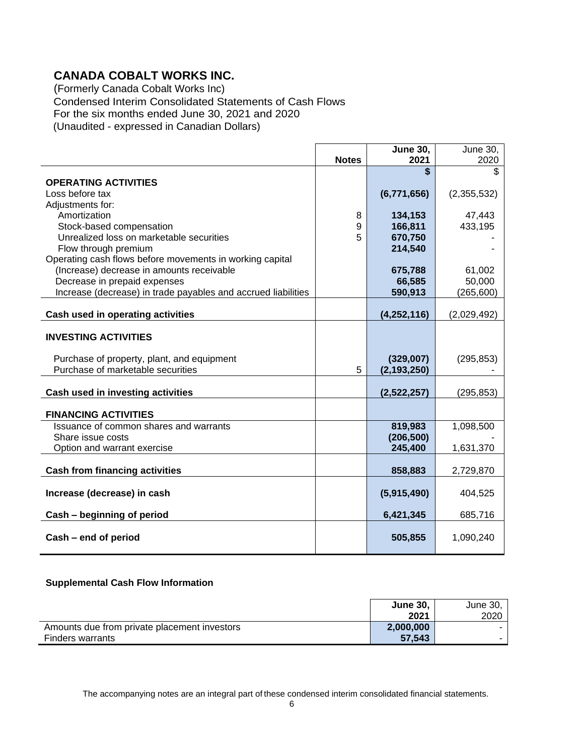## **CANADA COBALT WORKS INC.**

(Formerly Canada Cobalt Works Inc) Condensed Interim Consolidated Statements of Cash Flows For the six months ended June 30, 2021 and 2020 (Unaudited - expressed in Canadian Dollars)

|                                                                      |              | <b>June 30,</b>    | <b>June 30,</b>   |
|----------------------------------------------------------------------|--------------|--------------------|-------------------|
|                                                                      | <b>Notes</b> | 2021               | 2020              |
|                                                                      |              | \$                 | \$                |
| <b>OPERATING ACTIVITIES</b>                                          |              |                    |                   |
| Loss before tax                                                      |              | (6,771,656)        | (2,355,532)       |
| Adjustments for:                                                     |              |                    |                   |
| Amortization                                                         | 8            | 134,153<br>166,811 | 47,443<br>433,195 |
| Stock-based compensation<br>Unrealized loss on marketable securities | 9<br>5       | 670,750            |                   |
| Flow through premium                                                 |              | 214,540            |                   |
| Operating cash flows before movements in working capital             |              |                    |                   |
| (Increase) decrease in amounts receivable                            |              | 675,788            | 61,002            |
| Decrease in prepaid expenses                                         |              | 66,585             | 50,000            |
| Increase (decrease) in trade payables and accrued liabilities        |              | 590,913            | (265, 600)        |
|                                                                      |              |                    |                   |
| Cash used in operating activities                                    |              | (4, 252, 116)      | (2,029,492)       |
|                                                                      |              |                    |                   |
| <b>INVESTING ACTIVITIES</b>                                          |              |                    |                   |
|                                                                      |              |                    |                   |
| Purchase of property, plant, and equipment                           |              | (329,007)          | (295, 853)        |
| Purchase of marketable securities                                    | 5            | (2, 193, 250)      |                   |
|                                                                      |              |                    |                   |
| Cash used in investing activities                                    |              | (2,522,257)        | (295, 853)        |
| <b>FINANCING ACTIVITIES</b>                                          |              |                    |                   |
| Issuance of common shares and warrants                               |              | 819,983            | 1,098,500         |
| Share issue costs                                                    |              | (206, 500)         |                   |
| Option and warrant exercise                                          |              | 245,400            | 1,631,370         |
|                                                                      |              |                    |                   |
| <b>Cash from financing activities</b>                                |              | 858,883            | 2,729,870         |
|                                                                      |              |                    |                   |
| Increase (decrease) in cash                                          |              | (5,915,490)        | 404,525           |
| Cash - beginning of period                                           |              | 6,421,345          | 685,716           |
|                                                                      |              |                    |                   |
| Cash - end of period                                                 |              | 505,855            | 1,090,240         |
|                                                                      |              |                    |                   |

#### **Supplemental Cash Flow Information**

|                                              | <b>June 30.</b> | June 30, |
|----------------------------------------------|-----------------|----------|
|                                              | 2021            | 2020     |
| Amounts due from private placement investors | 2,000,000       |          |
| <b>Finders warrants</b>                      | 57,543          |          |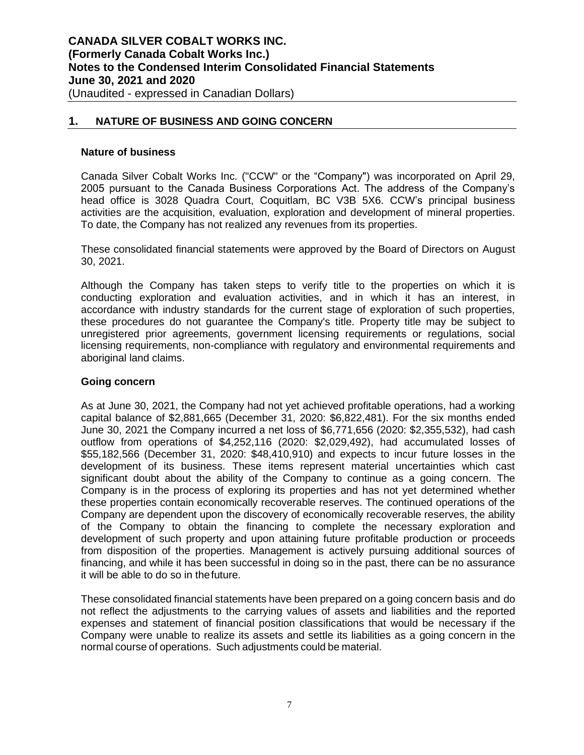## **1. NATURE OF BUSINESS AND GOING CONCERN**

#### **Nature of business**

Canada Silver Cobalt Works Inc. ("CCW" or the "Company") was incorporated on April 29, 2005 pursuant to the Canada Business Corporations Act. The address of the Company's head office is 3028 Quadra Court, Coquitlam, BC V3B 5X6. CCW's principal business activities are the acquisition, evaluation, exploration and development of mineral properties. To date, the Company has not realized any revenues from its properties.

These consolidated financial statements were approved by the Board of Directors on August 30, 2021.

Although the Company has taken steps to verify title to the properties on which it is conducting exploration and evaluation activities, and in which it has an interest, in accordance with industry standards for the current stage of exploration of such properties, these procedures do not guarantee the Company's title. Property title may be subject to unregistered prior agreements, government licensing requirements or regulations, social licensing requirements, non-compliance with regulatory and environmental requirements and aboriginal land claims.

#### **Going concern**

As at June 30, 2021, the Company had not yet achieved profitable operations, had a working capital balance of \$2,881,665 (December 31, 2020: \$6,822,481). For the six months ended June 30, 2021 the Company incurred a net loss of \$6,771,656 (2020: \$2,355,532), had cash outflow from operations of \$4,252,116 (2020: \$2,029,492), had accumulated losses of \$55,182,566 (December 31, 2020: \$48,410,910) and expects to incur future losses in the development of its business. These items represent material uncertainties which cast significant doubt about the ability of the Company to continue as a going concern. The Company is in the process of exploring its properties and has not yet determined whether these properties contain economically recoverable reserves. The continued operations of the Company are dependent upon the discovery of economically recoverable reserves, the ability of the Company to obtain the financing to complete the necessary exploration and development of such property and upon attaining future profitable production or proceeds from disposition of the properties. Management is actively pursuing additional sources of financing, and while it has been successful in doing so in the past, there can be no assurance it will be able to do so in thefuture.

These consolidated financial statements have been prepared on a going concern basis and do not reflect the adjustments to the carrying values of assets and liabilities and the reported expenses and statement of financial position classifications that would be necessary if the Company were unable to realize its assets and settle its liabilities as a going concern in the normal course of operations. Such adjustments could be material.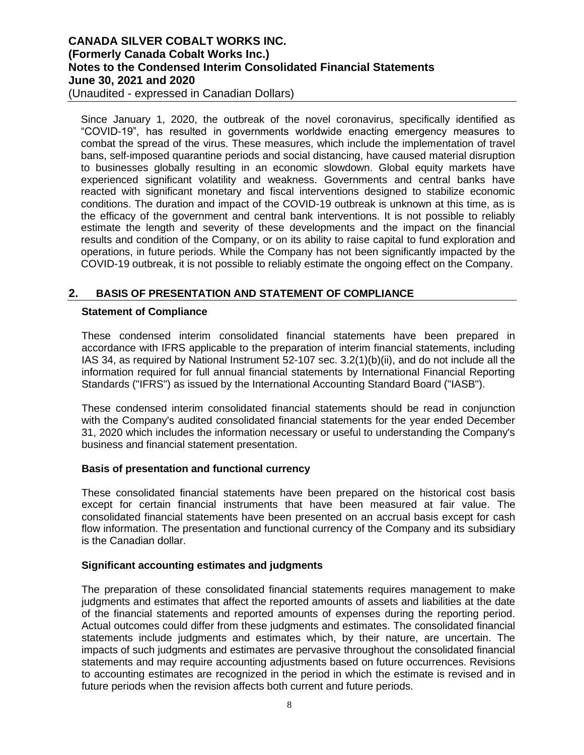(Unaudited - expressed in Canadian Dollars)

Since January 1, 2020, the outbreak of the novel coronavirus, specifically identified as "COVID-19", has resulted in governments worldwide enacting emergency measures to combat the spread of the virus. These measures, which include the implementation of travel bans, self-imposed quarantine periods and social distancing, have caused material disruption to businesses globally resulting in an economic slowdown. Global equity markets have experienced significant volatility and weakness. Governments and central banks have reacted with significant monetary and fiscal interventions designed to stabilize economic conditions. The duration and impact of the COVID-19 outbreak is unknown at this time, as is the efficacy of the government and central bank interventions. It is not possible to reliably estimate the length and severity of these developments and the impact on the financial results and condition of the Company, or on its ability to raise capital to fund exploration and operations, in future periods. While the Company has not been significantly impacted by the COVID-19 outbreak, it is not possible to reliably estimate the ongoing effect on the Company.

## **2. BASIS OF PRESENTATION AND STATEMENT OF COMPLIANCE**

### **Statement of Compliance**

These condensed interim consolidated financial statements have been prepared in accordance with IFRS applicable to the preparation of interim financial statements, including IAS 34, as required by National Instrument  $52-107$  sec.  $3.2(1)(b)(ii)$ , and do not include all the information required for full annual financial statements by International Financial Reporting Standards ("IFRS") as issued by the International Accounting Standard Board ("IASB").

These condensed interim consolidated financial statements should be read in conjunction with the Company's audited consolidated financial statements for the year ended December 31, 2020 which includes the information necessary or useful to understanding the Company's business and financial statement presentation.

## **Basis of presentation and functional currency**

These consolidated financial statements have been prepared on the historical cost basis except for certain financial instruments that have been measured at fair value. The consolidated financial statements have been presented on an accrual basis except for cash flow information. The presentation and functional currency of the Company and its subsidiary is the Canadian dollar.

#### **Significant accounting estimates and judgments**

The preparation of these consolidated financial statements requires management to make judgments and estimates that affect the reported amounts of assets and liabilities at the date of the financial statements and reported amounts of expenses during the reporting period. Actual outcomes could differ from these judgments and estimates. The consolidated financial statements include judgments and estimates which, by their nature, are uncertain. The impacts of such judgments and estimates are pervasive throughout the consolidated financial statements and may require accounting adjustments based on future occurrences. Revisions to accounting estimates are recognized in the period in which the estimate is revised and in future periods when the revision affects both current and future periods.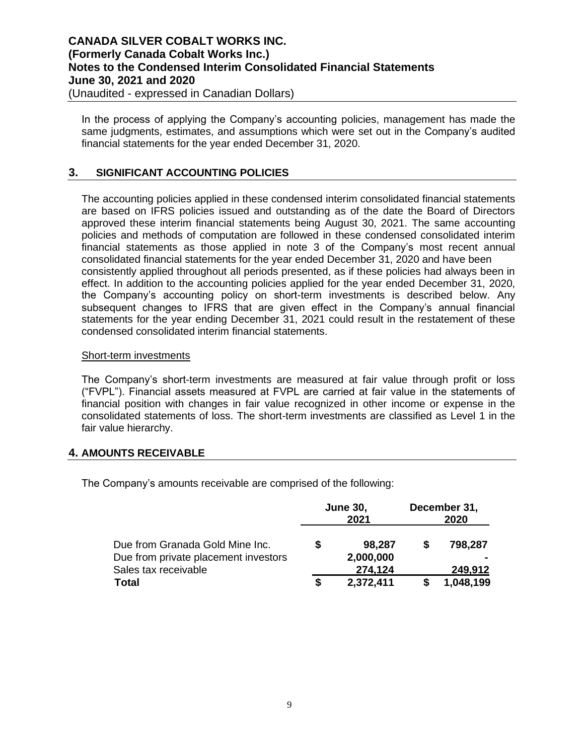## **CANADA SILVER COBALT WORKS INC. (Formerly Canada Cobalt Works Inc.) Notes to the Condensed Interim Consolidated Financial Statements June 30, 2021 and 2020** (Unaudited - expressed in Canadian Dollars)

In the process of applying the Company's accounting policies, management has made the same judgments, estimates, and assumptions which were set out in the Company's audited financial statements for the year ended December 31, 2020.

## **3. SIGNIFICANT ACCOUNTING POLICIES**

The accounting policies applied in these condensed interim consolidated financial statements are based on IFRS policies issued and outstanding as of the date the Board of Directors approved these interim financial statements being August 30, 2021. The same accounting policies and methods of computation are followed in these condensed consolidated interim financial statements as those applied in note 3 of the Company's most recent annual consolidated financial statements for the year ended December 31, 2020 and have been consistently applied throughout all periods presented, as if these policies had always been in effect. In addition to the accounting policies applied for the year ended December 31, 2020, the Company's accounting policy on short-term investments is described below. Any subsequent changes to IFRS that are given effect in the Company's annual financial statements for the year ending December 31, 2021 could result in the restatement of these condensed consolidated interim financial statements.

### Short-term investments

The Company's short-term investments are measured at fair value through profit or loss ("FVPL"). Financial assets measured at FVPL are carried at fair value in the statements of financial position with changes in fair value recognized in other income or expense in the consolidated statements of loss. The short-term investments are classified as Level 1 in the fair value hierarchy.

## **4. AMOUNTS RECEIVABLE**

The Company's amounts receivable are comprised of the following:

| Due from Granada Gold Mine Inc.<br>Due from private placement investors |   | <b>June 30,</b><br>2021 | December 31,<br>2020 |              |  |
|-------------------------------------------------------------------------|---|-------------------------|----------------------|--------------|--|
|                                                                         |   | 98,287<br>2,000,000     | S                    | 798,287<br>- |  |
| Sales tax receivable                                                    |   | 274,124                 |                      | 249,912      |  |
| <b>Total</b>                                                            | S | 2,372,411               |                      | 1,048,199    |  |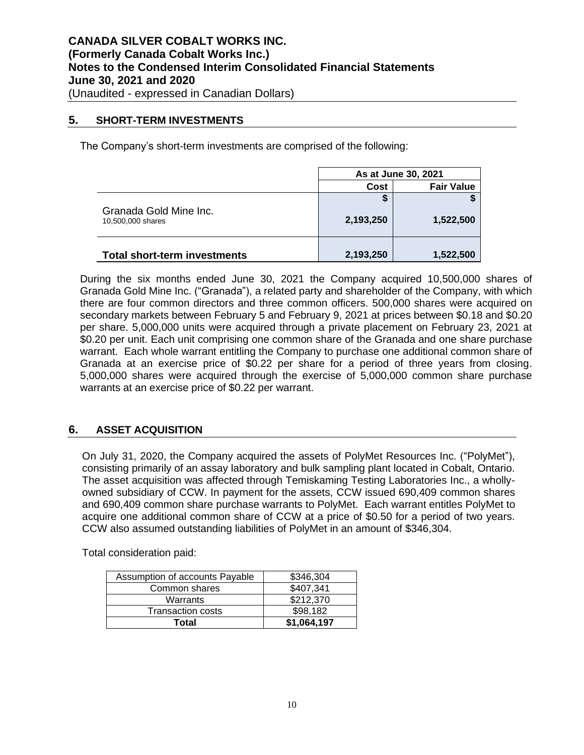## **5. SHORT-TERM INVESTMENTS**

The Company's short-term investments are comprised of the following:

|                                             |           | As at June 30, 2021 |  |  |
|---------------------------------------------|-----------|---------------------|--|--|
|                                             | Cost      | <b>Fair Value</b>   |  |  |
|                                             | J         |                     |  |  |
| Granada Gold Mine Inc.<br>10,500,000 shares | 2,193,250 | 1,522,500           |  |  |
| <b>Total short-term investments</b>         | 2,193,250 | 1,522,500           |  |  |

During the six months ended June 30, 2021 the Company acquired 10,500,000 shares of Granada Gold Mine Inc. ("Granada"), a related party and shareholder of the Company, with which there are four common directors and three common officers. 500,000 shares were acquired on secondary markets between February 5 and February 9, 2021 at prices between \$0.18 and \$0.20 per share. 5,000,000 units were acquired through a private placement on February 23, 2021 at \$0.20 per unit. Each unit comprising one common share of the Granada and one share purchase warrant. Each whole warrant entitling the Company to purchase one additional common share of Granada at an exercise price of \$0.22 per share for a period of three years from closing. 5,000,000 shares were acquired through the exercise of 5,000,000 common share purchase warrants at an exercise price of \$0.22 per warrant.

## **6. ASSET ACQUISITION**

On July 31, 2020, the Company acquired the assets of PolyMet Resources Inc. ("PolyMet"), consisting primarily of an assay laboratory and bulk sampling plant located in Cobalt, Ontario. The asset acquisition was affected through Temiskaming Testing Laboratories Inc., a whollyowned subsidiary of CCW. In payment for the assets, CCW issued 690,409 common shares and 690,409 common share purchase warrants to PolyMet. Each warrant entitles PolyMet to acquire one additional common share of CCW at a price of \$0.50 for a period of two years. CCW also assumed outstanding liabilities of PolyMet in an amount of \$346,304.

Total consideration paid:

| Assumption of accounts Payable | \$346,304   |
|--------------------------------|-------------|
| Common shares                  | \$407,341   |
| Warrants                       | \$212,370   |
| Transaction costs              | \$98,182    |
| Total                          | \$1,064,197 |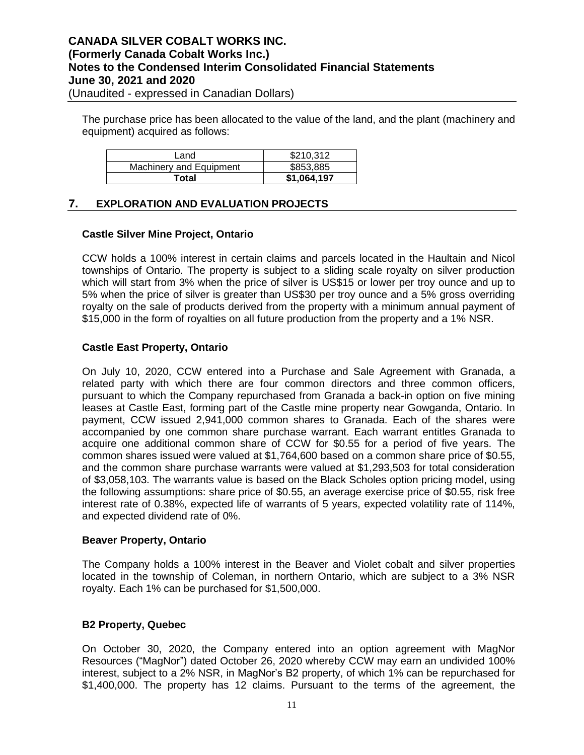The purchase price has been allocated to the value of the land, and the plant (machinery and equipment) acquired as follows:

| Land                    | \$210,312   |
|-------------------------|-------------|
| Machinery and Equipment | \$853,885   |
| Total                   | \$1,064,197 |

## **7. EXPLORATION AND EVALUATION PROJECTS**

### **Castle Silver Mine Project, Ontario**

CCW holds a 100% interest in certain claims and parcels located in the Haultain and Nicol townships of Ontario. The property is subject to a sliding scale royalty on silver production which will start from 3% when the price of silver is US\$15 or lower per troy ounce and up to 5% when the price of silver is greater than US\$30 per troy ounce and a 5% gross overriding royalty on the sale of products derived from the property with a minimum annual payment of \$15,000 in the form of royalties on all future production from the property and a 1% NSR.

### **Castle East Property, Ontario**

On July 10, 2020, CCW entered into a Purchase and Sale Agreement with Granada, a related party with which there are four common directors and three common officers, pursuant to which the Company repurchased from Granada a back-in option on five mining leases at Castle East, forming part of the Castle mine property near Gowganda, Ontario. In payment, CCW issued 2,941,000 common shares to Granada. Each of the shares were accompanied by one common share purchase warrant. Each warrant entitles Granada to acquire one additional common share of CCW for \$0.55 for a period of five years. The common shares issued were valued at \$1,764,600 based on a common share price of \$0.55, and the common share purchase warrants were valued at \$1,293,503 for total consideration of \$3,058,103. The warrants value is based on the Black Scholes option pricing model, using the following assumptions: share price of \$0.55, an average exercise price of \$0.55, risk free interest rate of 0.38%, expected life of warrants of 5 years, expected volatility rate of 114%, and expected dividend rate of 0%.

#### **Beaver Property, Ontario**

The Company holds a 100% interest in the Beaver and Violet cobalt and silver properties located in the township of Coleman, in northern Ontario, which are subject to a 3% NSR royalty. Each 1% can be purchased for \$1,500,000.

#### **B2 Property, Quebec**

On October 30, 2020, the Company entered into an option agreement with MagNor Resources ("MagNor") dated October 26, 2020 whereby CCW may earn an undivided 100% interest, subject to a 2% NSR, in MagNor's B2 property, of which 1% can be repurchased for \$1,400,000. The property has 12 claims. Pursuant to the terms of the agreement, the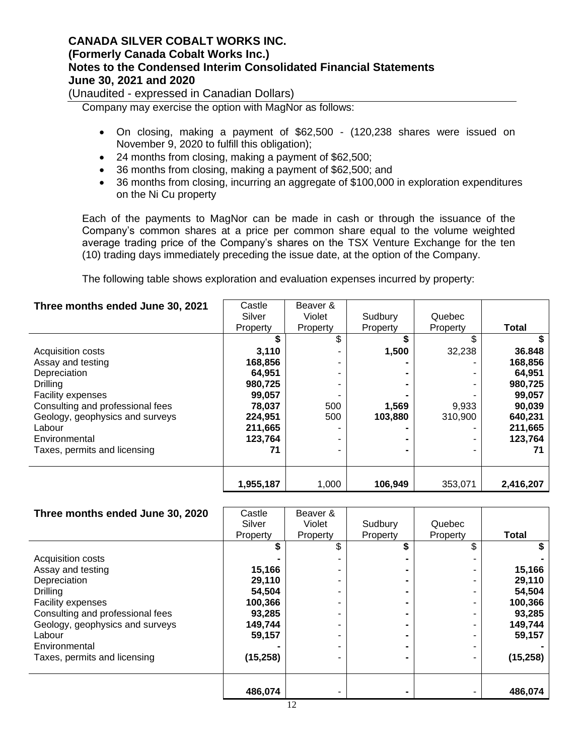(Unaudited - expressed in Canadian Dollars)

Company may exercise the option with MagNor as follows:

- On closing, making a payment of \$62,500 (120,238 shares were issued on November 9, 2020 to fulfill this obligation);
- 24 months from closing, making a payment of \$62,500;
- 36 months from closing, making a payment of \$62,500; and
- 36 months from closing, incurring an aggregate of \$100,000 in exploration expenditures on the Ni Cu property

Each of the payments to MagNor can be made in cash or through the issuance of the Company's common shares at a price per common share equal to the volume weighted average trading price of the Company's shares on the TSX Venture Exchange for the ten (10) trading days immediately preceding the issue date, at the option of the Company.

The following table shows exploration and evaluation expenses incurred by property:

| Three months ended June 30, 2021 | Castle    | Beaver & |          |          |           |
|----------------------------------|-----------|----------|----------|----------|-----------|
|                                  | Silver    | Violet   | Sudbury  | Quebec   |           |
|                                  | Property  | Property | Property | Property | Total     |
|                                  |           | \$       |          |          |           |
| Acquisition costs                | 3,110     |          | 1,500    | 32,238   | 36.848    |
| Assay and testing                | 168,856   |          |          |          | 168,856   |
| Depreciation                     | 64,951    |          |          |          | 64,951    |
| <b>Drilling</b>                  | 980.725   |          |          |          | 980,725   |
| <b>Facility expenses</b>         | 99,057    |          |          |          | 99,057    |
| Consulting and professional fees | 78,037    | 500      | 1,569    | 9,933    | 90,039    |
| Geology, geophysics and surveys  | 224,951   | 500      | 103,880  | 310,900  | 640,231   |
| Labour                           | 211,665   |          |          |          | 211,665   |
| Environmental                    | 123,764   | -        |          |          | 123,764   |
| Taxes, permits and licensing     |           |          |          |          |           |
|                                  |           |          |          |          |           |
|                                  |           |          |          |          |           |
|                                  | 1,955,187 | 1,000    | 106,949  | 353,071  | 2,416,207 |

| Three months ended June 30, 2020 | Castle<br>Silver | Beaver &<br>Violet | Sudbury  | Quebec   |              |
|----------------------------------|------------------|--------------------|----------|----------|--------------|
|                                  | Property         | Property           | Property | Property | <b>Total</b> |
|                                  |                  | \$.                | S        | \$.      |              |
| <b>Acquisition costs</b>         |                  |                    |          |          |              |
| Assay and testing                | 15,166           |                    |          |          | 15,166       |
| Depreciation                     | 29,110           |                    |          |          | 29,110       |
| <b>Drilling</b>                  | 54,504           |                    |          |          | 54,504       |
| Facility expenses                | 100,366          |                    |          |          | 100,366      |
| Consulting and professional fees | 93,285           |                    |          |          | 93,285       |
| Geology, geophysics and surveys  | 149,744          |                    | -        |          | 149,744      |
| Labour                           | 59,157           |                    |          |          | 59,157       |
| Environmental                    |                  |                    |          |          |              |
| Taxes, permits and licensing     | (15, 258)        |                    |          |          | (15, 258)    |
|                                  |                  |                    |          |          |              |
|                                  | 486,074          |                    |          |          | 486,074      |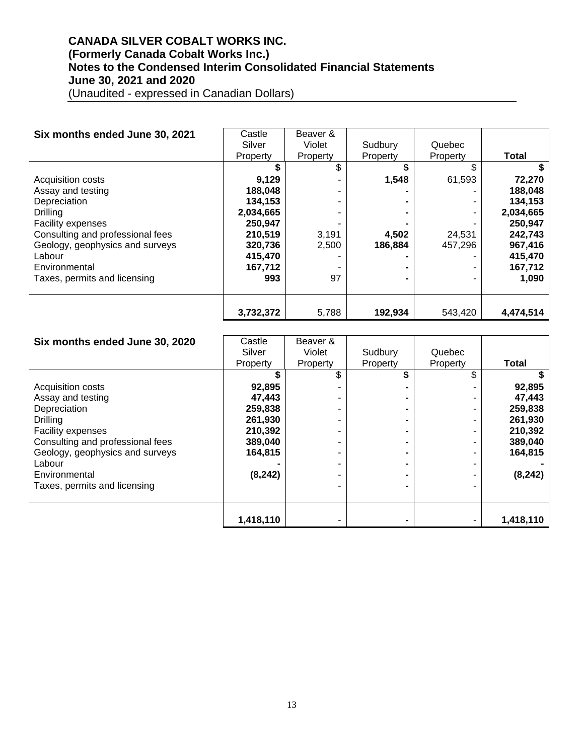(Unaudited - expressed in Canadian Dollars)

| Six months ended June 30, 2021   | Castle    | Beaver & |          |          |           |
|----------------------------------|-----------|----------|----------|----------|-----------|
|                                  | Silver    | Violet   | Sudbury  | Quebec   |           |
|                                  | Property  | Property | Property | Property | Total     |
|                                  |           | \$       |          | \$.      |           |
| Acquisition costs                | 9,129     |          | 1,548    | 61,593   | 72,270    |
| Assay and testing                | 188,048   |          |          |          | 188,048   |
| Depreciation                     | 134,153   |          |          |          | 134,153   |
| <b>Drilling</b>                  | 2,034,665 |          |          |          | 2,034,665 |
| Facility expenses                | 250,947   |          |          |          | 250,947   |
| Consulting and professional fees | 210,519   | 3,191    | 4,502    | 24,531   | 242,743   |
| Geology, geophysics and surveys  | 320,736   | 2,500    | 186,884  | 457,296  | 967,416   |
| Labour                           | 415,470   |          |          |          | 415,470   |
| Environmental                    | 167,712   |          |          |          | 167,712   |
| Taxes, permits and licensing     | 993       | 97       |          |          | 1,090     |
|                                  |           |          |          |          |           |
|                                  |           |          |          |          |           |
|                                  | 3,732,372 | 5,788    | 192,934  | 543,420  | 4,474,514 |

| Six months ended June 30, 2020   | Castle    | Beaver & |                |          |              |
|----------------------------------|-----------|----------|----------------|----------|--------------|
|                                  | Silver    | Violet   | Sudbury        | Quebec   |              |
|                                  | Property  | Property | Property       | Property | <b>Total</b> |
|                                  |           | \$       | \$             | \$       |              |
| Acquisition costs                | 92,895    |          |                |          | 92,895       |
| Assay and testing                | 47,443    |          |                |          | 47,443       |
| Depreciation                     | 259,838   |          |                |          | 259,838      |
| <b>Drilling</b>                  | 261,930   |          |                |          | 261,930      |
| Facility expenses                | 210,392   | -        | $\blacksquare$ |          | 210,392      |
| Consulting and professional fees | 389,040   |          | $\blacksquare$ |          | 389,040      |
| Geology, geophysics and surveys  | 164,815   |          | -              |          | 164,815      |
| Labour                           |           |          |                |          |              |
| Environmental                    | (8, 242)  |          |                |          | (8, 242)     |
| Taxes, permits and licensing     |           |          | -              |          |              |
|                                  |           |          |                |          |              |
|                                  |           |          |                |          |              |
|                                  | 1,418,110 |          |                |          | 1,418,110    |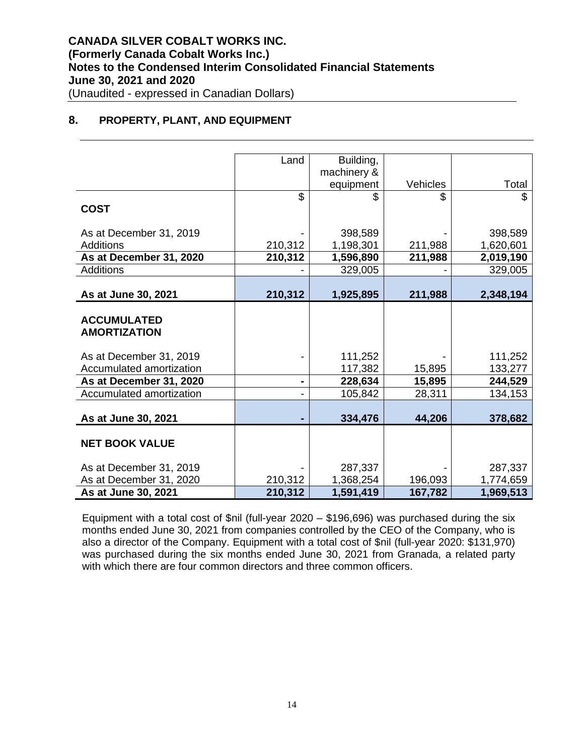## **8. PROPERTY, PLANT, AND EQUIPMENT**

|                          | Land    | Building,   |          |           |
|--------------------------|---------|-------------|----------|-----------|
|                          |         | machinery & |          |           |
|                          |         | equipment   | Vehicles | Total     |
|                          | \$      |             | S.       | \$        |
| <b>COST</b>              |         |             |          |           |
|                          |         |             |          |           |
| As at December 31, 2019  |         | 398,589     |          | 398,589   |
| <b>Additions</b>         | 210,312 | 1,198,301   | 211,988  | 1,620,601 |
| As at December 31, 2020  | 210,312 | 1,596,890   | 211,988  | 2,019,190 |
| Additions                |         | 329,005     |          | 329,005   |
|                          |         |             |          |           |
| As at June 30, 2021      | 210,312 | 1,925,895   | 211,988  | 2,348,194 |
|                          |         |             |          |           |
| <b>ACCUMULATED</b>       |         |             |          |           |
| <b>AMORTIZATION</b>      |         |             |          |           |
|                          |         |             |          |           |
| As at December 31, 2019  |         | 111,252     |          | 111,252   |
| Accumulated amortization |         |             |          |           |
|                          |         | 117,382     | 15,895   | 133,277   |
| As at December 31, 2020  |         | 228,634     | 15,895   | 244,529   |
| Accumulated amortization |         | 105,842     | 28,311   | 134,153   |
|                          |         |             |          |           |
| As at June 30, 2021      |         | 334,476     | 44,206   | 378,682   |
|                          |         |             |          |           |
| <b>NET BOOK VALUE</b>    |         |             |          |           |
|                          |         |             |          |           |
| As at December 31, 2019  |         | 287,337     |          | 287,337   |
| As at December 31, 2020  | 210,312 | 1,368,254   | 196,093  | 1,774,659 |
| As at June 30, 2021      | 210,312 | 1,591,419   | 167,782  | 1,969,513 |

Equipment with a total cost of \$nil (full-year 2020 – \$196,696) was purchased during the six months ended June 30, 2021 from companies controlled by the CEO of the Company, who is also a director of the Company. Equipment with a total cost of \$nil (full-year 2020: \$131,970) was purchased during the six months ended June 30, 2021 from Granada, a related party with which there are four common directors and three common officers.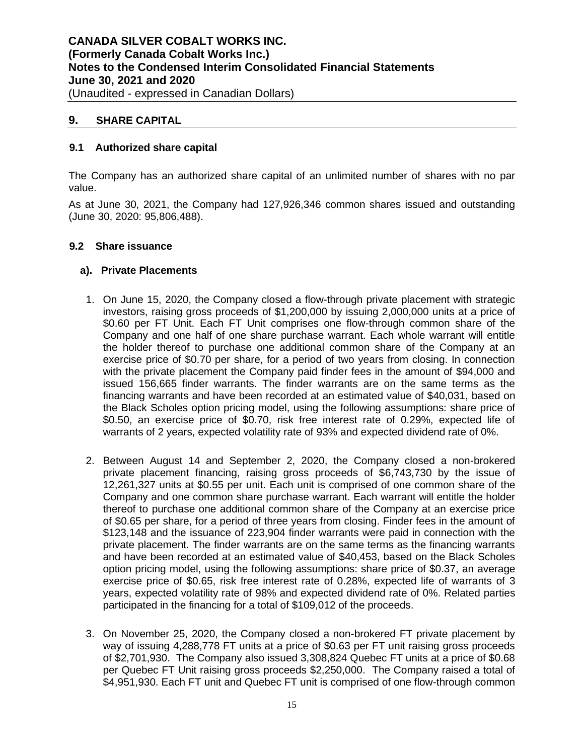## **9. SHARE CAPITAL**

## **9.1 Authorized share capital**

The Company has an authorized share capital of an unlimited number of shares with no par value.

As at June 30, 2021, the Company had 127,926,346 common shares issued and outstanding (June 30, 2020: 95,806,488).

#### **9.2 Share issuance**

### **a). Private Placements**

- 1. On June 15, 2020, the Company closed a flow-through private placement with strategic investors, raising gross proceeds of \$1,200,000 by issuing 2,000,000 units at a price of \$0.60 per FT Unit. Each FT Unit comprises one flow-through common share of the Company and one half of one share purchase warrant. Each whole warrant will entitle the holder thereof to purchase one additional common share of the Company at an exercise price of \$0.70 per share, for a period of two years from closing. In connection with the private placement the Company paid finder fees in the amount of \$94,000 and issued 156,665 finder warrants. The finder warrants are on the same terms as the financing warrants and have been recorded at an estimated value of \$40,031, based on the Black Scholes option pricing model, using the following assumptions: share price of \$0.50, an exercise price of \$0.70, risk free interest rate of 0.29%, expected life of warrants of 2 years, expected volatility rate of 93% and expected dividend rate of 0%.
- 2. Between August 14 and September 2, 2020, the Company closed a non-brokered private placement financing, raising gross proceeds of \$6,743,730 by the issue of 12,261,327 units at \$0.55 per unit. Each unit is comprised of one common share of the Company and one common share purchase warrant. Each warrant will entitle the holder thereof to purchase one additional common share of the Company at an exercise price of \$0.65 per share, for a period of three years from closing. Finder fees in the amount of \$123,148 and the issuance of 223,904 finder warrants were paid in connection with the private placement. The finder warrants are on the same terms as the financing warrants and have been recorded at an estimated value of \$40,453, based on the Black Scholes option pricing model, using the following assumptions: share price of \$0.37, an average exercise price of \$0.65, risk free interest rate of 0.28%, expected life of warrants of 3 years, expected volatility rate of 98% and expected dividend rate of 0%. Related parties participated in the financing for a total of \$109,012 of the proceeds.
- 3. On November 25, 2020, the Company closed a non-brokered FT private placement by way of issuing 4,288,778 FT units at a price of \$0.63 per FT unit raising gross proceeds of \$2,701,930. The Company also issued 3,308,824 Quebec FT units at a price of \$0.68 per Quebec FT Unit raising gross proceeds \$2,250,000. The Company raised a total of \$4,951,930. Each FT unit and Quebec FT unit is comprised of one flow-through common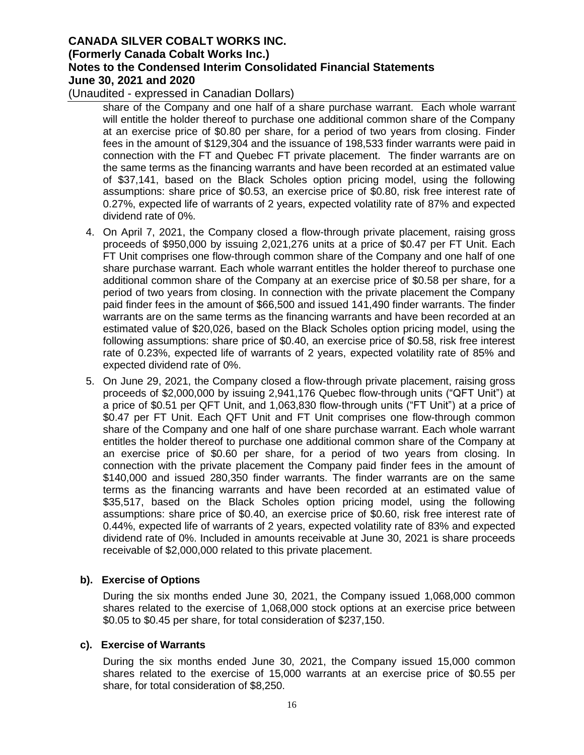(Unaudited - expressed in Canadian Dollars)

share of the Company and one half of a share purchase warrant. Each whole warrant will entitle the holder thereof to purchase one additional common share of the Company at an exercise price of \$0.80 per share, for a period of two years from closing. Finder fees in the amount of \$129,304 and the issuance of 198,533 finder warrants were paid in connection with the FT and Quebec FT private placement. The finder warrants are on the same terms as the financing warrants and have been recorded at an estimated value of \$37,141, based on the Black Scholes option pricing model, using the following assumptions: share price of \$0.53, an exercise price of \$0.80, risk free interest rate of 0.27%, expected life of warrants of 2 years, expected volatility rate of 87% and expected dividend rate of 0%.

- 4. On April 7, 2021, the Company closed a flow-through private placement, raising gross proceeds of \$950,000 by issuing 2,021,276 units at a price of \$0.47 per FT Unit. Each FT Unit comprises one flow-through common share of the Company and one half of one share purchase warrant. Each whole warrant entitles the holder thereof to purchase one additional common share of the Company at an exercise price of \$0.58 per share, for a period of two years from closing. In connection with the private placement the Company paid finder fees in the amount of \$66,500 and issued 141,490 finder warrants. The finder warrants are on the same terms as the financing warrants and have been recorded at an estimated value of \$20,026, based on the Black Scholes option pricing model, using the following assumptions: share price of \$0.40, an exercise price of \$0.58, risk free interest rate of 0.23%, expected life of warrants of 2 years, expected volatility rate of 85% and expected dividend rate of 0%.
- 5. On June 29, 2021, the Company closed a flow-through private placement, raising gross proceeds of \$2,000,000 by issuing 2,941,176 Quebec flow-through units ("QFT Unit") at a price of \$0.51 per QFT Unit, and 1,063,830 flow-through units ("FT Unit") at a price of \$0.47 per FT Unit. Each QFT Unit and FT Unit comprises one flow-through common share of the Company and one half of one share purchase warrant. Each whole warrant entitles the holder thereof to purchase one additional common share of the Company at an exercise price of \$0.60 per share, for a period of two years from closing. In connection with the private placement the Company paid finder fees in the amount of \$140,000 and issued 280,350 finder warrants. The finder warrants are on the same terms as the financing warrants and have been recorded at an estimated value of \$35,517, based on the Black Scholes option pricing model, using the following assumptions: share price of \$0.40, an exercise price of \$0.60, risk free interest rate of 0.44%, expected life of warrants of 2 years, expected volatility rate of 83% and expected dividend rate of 0%. Included in amounts receivable at June 30, 2021 is share proceeds receivable of \$2,000,000 related to this private placement.

## **b). Exercise of Options**

During the six months ended June 30, 2021, the Company issued 1,068,000 common shares related to the exercise of 1,068,000 stock options at an exercise price between \$0.05 to \$0.45 per share, for total consideration of \$237,150.

#### **c). Exercise of Warrants**

During the six months ended June 30, 2021, the Company issued 15,000 common shares related to the exercise of 15,000 warrants at an exercise price of \$0.55 per share, for total consideration of \$8,250.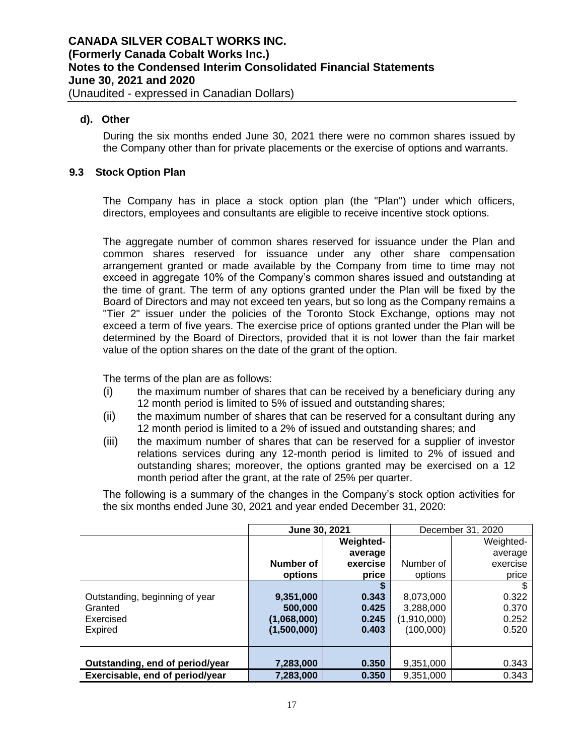### **d). Other**

During the six months ended June 30, 2021 there were no common shares issued by the Company other than for private placements or the exercise of options and warrants.

### **9.3 Stock Option Plan**

The Company has in place a stock option plan (the "Plan") under which officers, directors, employees and consultants are eligible to receive incentive stock options.

The aggregate number of common shares reserved for issuance under the Plan and common shares reserved for issuance under any other share compensation arrangement granted or made available by the Company from time to time may not exceed in aggregate 10% of the Company's common shares issued and outstanding at the time of grant. The term of any options granted under the Plan will be fixed by the Board of Directors and may not exceed ten years, but so long as the Company remains a "Tier 2" issuer under the policies of the Toronto Stock Exchange, options may not exceed a term of five years. The exercise price of options granted under the Plan will be determined by the Board of Directors, provided that it is not lower than the fair market value of the option shares on the date of the grant of the option.

The terms of the plan are as follows:

- (i) the maximum number of shares that can be received by a beneficiary during any 12 month period is limited to 5% of issued and outstanding shares;
- (ii) the maximum number of shares that can be reserved for a consultant during any 12 month period is limited to a 2% of issued and outstanding shares; and
- (iii) the maximum number of shares that can be reserved for a supplier of investor relations services during any 12-month period is limited to 2% of issued and outstanding shares; moreover, the options granted may be exercised on a 12 month period after the grant, at the rate of 25% per quarter.

The following is a summary of the changes in the Company's stock option activities for the six months ended June 30, 2021 and year ended December 31, 2020:

|                                 | June 30, 2021 |                  | December 31, 2020 |           |
|---------------------------------|---------------|------------------|-------------------|-----------|
|                                 |               | <b>Weighted-</b> |                   | Weighted- |
|                                 |               | average          |                   | average   |
|                                 | Number of     | exercise         | Number of         | exercise  |
|                                 | options       | price            | options           | price     |
|                                 |               |                  |                   | \$        |
| Outstanding, beginning of year  | 9,351,000     | 0.343            | 8,073,000         | 0.322     |
| Granted                         | 500,000       | 0.425            | 3,288,000         | 0.370     |
| Exercised                       | (1,068,000)   | 0.245            | (1,910,000)       | 0.252     |
| Expired                         | (1,500,000)   | 0.403            | (100,000)         | 0.520     |
|                                 |               |                  |                   |           |
|                                 |               |                  |                   |           |
| Outstanding, end of period/year | 7,283,000     | 0.350            | 9,351,000         | 0.343     |
| Exercisable, end of period/year | 7,283,000     | 0.350            | 9,351,000         | 0.343     |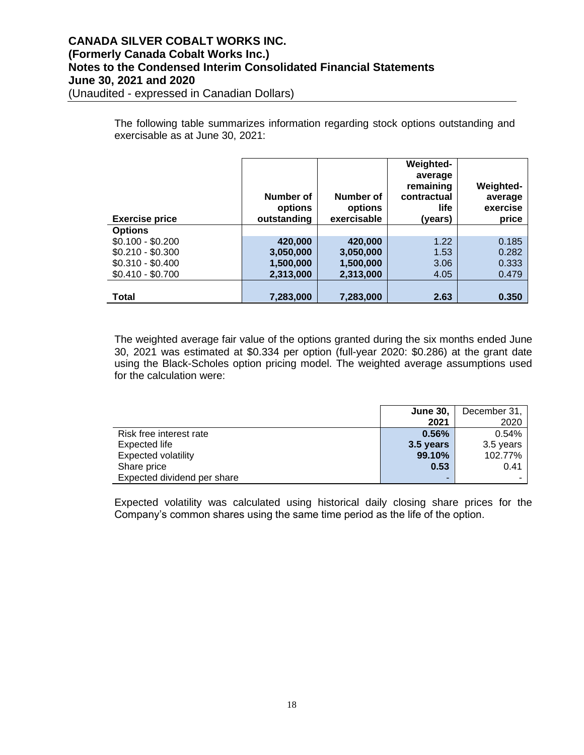## **CANADA SILVER COBALT WORKS INC. (Formerly Canada Cobalt Works Inc.) Notes to the Condensed Interim Consolidated Financial Statements June 30, 2021 and 2020** (Unaudited - expressed in Canadian Dollars)

The following table summarizes information regarding stock options outstanding and exercisable as at June 30, 2021:

| <b>Exercise price</b> | Number of<br>options<br>outstanding | Number of<br>options<br>exercisable | Weighted-<br>average<br>remaining<br>contractual<br>life.<br>(years) | <b>Weighted-</b><br>average<br>exercise<br>price |
|-----------------------|-------------------------------------|-------------------------------------|----------------------------------------------------------------------|--------------------------------------------------|
| <b>Options</b>        |                                     |                                     |                                                                      |                                                  |
| $$0.100 - $0.200$     | 420,000                             | 420,000                             | 1.22                                                                 | 0.185                                            |
| $$0.210 - $0.300$     | 3,050,000                           | 3,050,000                           | 1.53                                                                 | 0.282                                            |
| $$0.310 - $0.400$     | 1,500,000                           | 1,500,000                           | 3.06                                                                 | 0.333                                            |
| $$0.410 - $0.700$     | 2,313,000                           | 2,313,000                           | 4.05                                                                 | 0.479                                            |
| <b>Total</b>          | 7,283,000                           | 7,283,000                           | 2.63                                                                 | 0.350                                            |

The weighted average fair value of the options granted during the six months ended June 30, 2021 was estimated at \$0.334 per option (full-year 2020: \$0.286) at the grant date using the Black-Scholes option pricing model. The weighted average assumptions used for the calculation were:

|                             | <b>June 30,</b> | December 31, |
|-----------------------------|-----------------|--------------|
|                             | 2021            | 2020         |
| Risk free interest rate     | 0.56%           | 0.54%        |
| Expected life               | 3.5 years       | 3.5 years    |
| <b>Expected volatility</b>  | 99.10%          | 102.77%      |
| Share price                 | 0.53            | 0.41         |
| Expected dividend per share | -               |              |

Expected volatility was calculated using historical daily closing share prices for the Company's common shares using the same time period as the life of the option.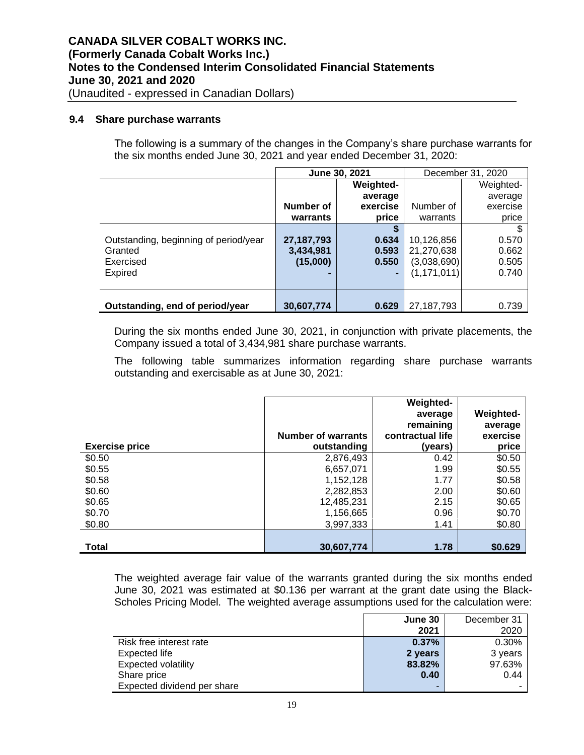#### **9.4 Share purchase warrants**

The following is a summary of the changes in the Company's share purchase warrants for the six months ended June 30, 2021 and year ended December 31, 2020:

|                                       | June 30, 2021 |                  | December 31, 2020 |           |
|---------------------------------------|---------------|------------------|-------------------|-----------|
|                                       |               | <b>Weighted-</b> |                   | Weighted- |
|                                       |               | average          |                   | average   |
|                                       | Number of     | exercise         | Number of         | exercise  |
|                                       | warrants      | price            | warrants          | price     |
|                                       |               |                  |                   |           |
| Outstanding, beginning of period/year | 27, 187, 793  | 0.634            | 10,126,856        | 0.570     |
| Granted                               | 3,434,981     | 0.593            | 21,270,638        | 0.662     |
| Exercised                             | (15,000)      | 0.550            | (3,038,690)       | 0.505     |
| Expired                               |               |                  | (1, 171, 011)     | 0.740     |
|                                       |               |                  |                   |           |
| Outstanding, end of period/year       | 30,607,774    | 0.629            | 27, 187, 793      | 0.739     |

During the six months ended June 30, 2021, in conjunction with private placements, the Company issued a total of 3,434,981 share purchase warrants.

The following table summarizes information regarding share purchase warrants outstanding and exercisable as at June 30, 2021:

| <b>Exercise price</b> | <b>Number of warrants</b><br>outstanding | <b>Weighted-</b><br>average<br>remaining<br>contractual life<br>(vears) | <b>Weighted-</b><br>average<br>exercise<br>price |
|-----------------------|------------------------------------------|-------------------------------------------------------------------------|--------------------------------------------------|
| \$0.50                | 2,876,493                                | 0.42                                                                    | \$0.50                                           |
| \$0.55                | 6,657,071                                | 1.99                                                                    | \$0.55                                           |
| \$0.58                | 1,152,128                                | 1.77                                                                    | \$0.58                                           |
| \$0.60                | 2,282,853                                | 2.00                                                                    | \$0.60                                           |
| \$0.65                | 12,485,231                               | 2.15                                                                    | \$0.65                                           |
| \$0.70                | 1,156,665                                | 0.96                                                                    | \$0.70                                           |
| \$0.80                | 3,997,333                                | 1.41                                                                    | \$0.80                                           |
| <b>Total</b>          | 30.607.774                               | 1.78                                                                    | \$0.629                                          |

The weighted average fair value of the warrants granted during the six months ended June 30, 2021 was estimated at \$0.136 per warrant at the grant date using the Black-Scholes Pricing Model. The weighted average assumptions used for the calculation were:

|                             | June 30 | December 31 |
|-----------------------------|---------|-------------|
|                             | 2021    | 2020        |
| Risk free interest rate     | 0.37%   | 0.30%       |
| Expected life               | 2 years | 3 years     |
| Expected volatility         | 83.82%  | 97.63%      |
| Share price                 | 0.40    | 0.44        |
| Expected dividend per share | -       |             |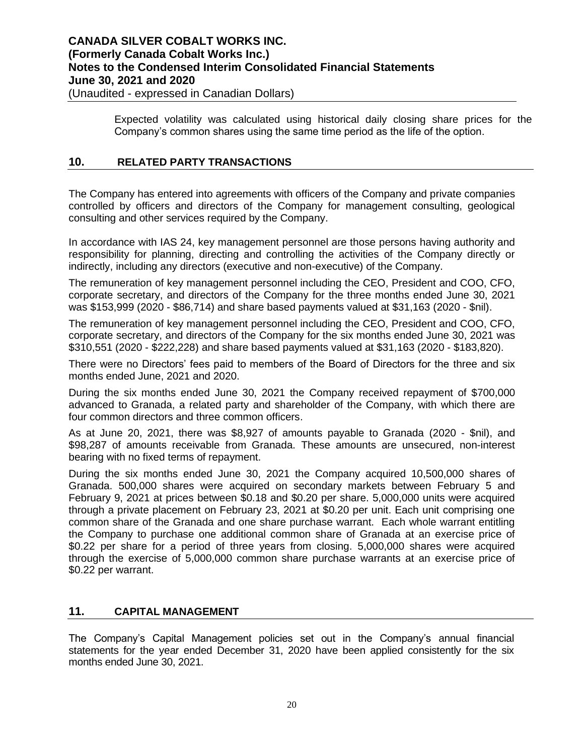Expected volatility was calculated using historical daily closing share prices for the Company's common shares using the same time period as the life of the option.

## **10. RELATED PARTY TRANSACTIONS**

The Company has entered into agreements with officers of the Company and private companies controlled by officers and directors of the Company for management consulting, geological consulting and other services required by the Company.

In accordance with IAS 24, key management personnel are those persons having authority and responsibility for planning, directing and controlling the activities of the Company directly or indirectly, including any directors (executive and non-executive) of the Company.

The remuneration of key management personnel including the CEO, President and COO, CFO, corporate secretary, and directors of the Company for the three months ended June 30, 2021 was \$153,999 (2020 - \$86,714) and share based payments valued at \$31,163 (2020 - \$nil).

The remuneration of key management personnel including the CEO, President and COO, CFO, corporate secretary, and directors of the Company for the six months ended June 30, 2021 was \$310,551 (2020 - \$222,228) and share based payments valued at \$31,163 (2020 - \$183,820).

There were no Directors' fees paid to members of the Board of Directors for the three and six months ended June, 2021 and 2020.

During the six months ended June 30, 2021 the Company received repayment of \$700,000 advanced to Granada, a related party and shareholder of the Company, with which there are four common directors and three common officers.

As at June 20, 2021, there was \$8,927 of amounts payable to Granada (2020 - \$nil), and \$98,287 of amounts receivable from Granada. These amounts are unsecured, non-interest bearing with no fixed terms of repayment.

During the six months ended June 30, 2021 the Company acquired 10,500,000 shares of Granada. 500,000 shares were acquired on secondary markets between February 5 and February 9, 2021 at prices between \$0.18 and \$0.20 per share. 5,000,000 units were acquired through a private placement on February 23, 2021 at \$0.20 per unit. Each unit comprising one common share of the Granada and one share purchase warrant. Each whole warrant entitling the Company to purchase one additional common share of Granada at an exercise price of \$0.22 per share for a period of three years from closing. 5,000,000 shares were acquired through the exercise of 5,000,000 common share purchase warrants at an exercise price of \$0.22 per warrant.

## **11. CAPITAL MANAGEMENT**

The Company's Capital Management policies set out in the Company's annual financial statements for the year ended December 31, 2020 have been applied consistently for the six months ended June 30, 2021.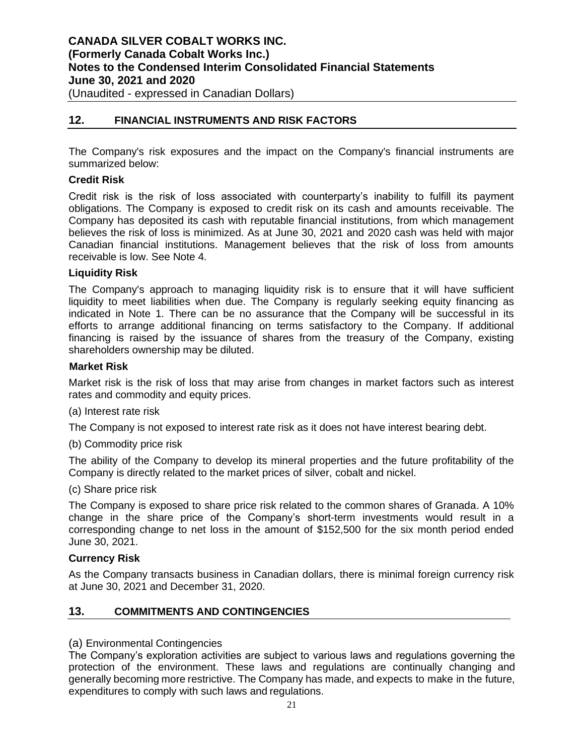## **12. FINANCIAL INSTRUMENTS AND RISK FACTORS**

The Company's risk exposures and the impact on the Company's financial instruments are summarized below:

#### **Credit Risk**

Credit risk is the risk of loss associated with counterparty's inability to fulfill its payment obligations. The Company is exposed to credit risk on its cash and amounts receivable. The Company has deposited its cash with reputable financial institutions, from which management believes the risk of loss is minimized. As at June 30, 2021 and 2020 cash was held with major Canadian financial institutions. Management believes that the risk of loss from amounts receivable is low. See Note 4.

### **Liquidity Risk**

The Company's approach to managing liquidity risk is to ensure that it will have sufficient liquidity to meet liabilities when due. The Company is regularly seeking equity financing as indicated in Note 1. There can be no assurance that the Company will be successful in its efforts to arrange additional financing on terms satisfactory to the Company. If additional financing is raised by the issuance of shares from the treasury of the Company, existing shareholders ownership may be diluted.

#### **Market Risk**

Market risk is the risk of loss that may arise from changes in market factors such as interest rates and commodity and equity prices.

(a) Interest rate risk

The Company is not exposed to interest rate risk as it does not have interest bearing debt.

(b) Commodity price risk

The ability of the Company to develop its mineral properties and the future profitability of the Company is directly related to the market prices of silver, cobalt and nickel.

(c) Share price risk

The Company is exposed to share price risk related to the common shares of Granada. A 10% change in the share price of the Company's short-term investments would result in a corresponding change to net loss in the amount of \$152,500 for the six month period ended June 30, 2021.

#### **Currency Risk**

As the Company transacts business in Canadian dollars, there is minimal foreign currency risk at June 30, 2021 and December 31, 2020.

## **13. COMMITMENTS AND CONTINGENCIES**

#### (a) Environmental Contingencies

The Company's exploration activities are subject to various laws and regulations governing the protection of the environment. These laws and regulations are continually changing and generally becoming more restrictive. The Company has made, and expects to make in the future, expenditures to comply with such laws and regulations.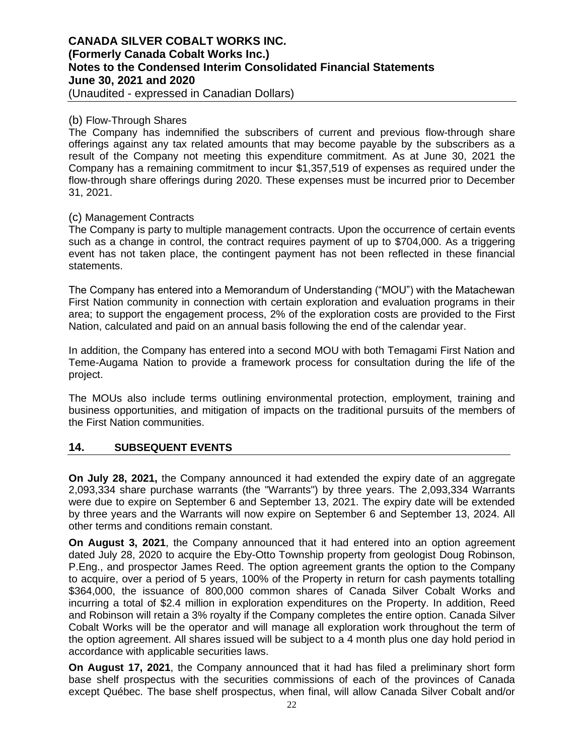(Unaudited - expressed in Canadian Dollars)

### (b) Flow-Through Shares

The Company has indemnified the subscribers of current and previous flow-through share offerings against any tax related amounts that may become payable by the subscribers as a result of the Company not meeting this expenditure commitment. As at June 30, 2021 the Company has a remaining commitment to incur \$1,357,519 of expenses as required under the flow-through share offerings during 2020. These expenses must be incurred prior to December 31, 2021.

### (c) Management Contracts

The Company is party to multiple management contracts. Upon the occurrence of certain events such as a change in control, the contract requires payment of up to \$704,000. As a triggering event has not taken place, the contingent payment has not been reflected in these financial statements.

The Company has entered into a Memorandum of Understanding ("MOU") with the Matachewan First Nation community in connection with certain exploration and evaluation programs in their area; to support the engagement process, 2% of the exploration costs are provided to the First Nation, calculated and paid on an annual basis following the end of the calendar year.

In addition, the Company has entered into a second MOU with both Temagami First Nation and Teme-Augama Nation to provide a framework process for consultation during the life of the project.

The MOUs also include terms outlining environmental protection, employment, training and business opportunities, and mitigation of impacts on the traditional pursuits of the members of the First Nation communities.

## **14. SUBSEQUENT EVENTS**

**On July 28, 2021,** the Company announced it had extended the expiry date of an aggregate 2,093,334 share purchase warrants (the "Warrants") by three years. The 2,093,334 Warrants were due to expire on September 6 and September 13, 2021. The expiry date will be extended by three years and the Warrants will now expire on September 6 and September 13, 2024. All other terms and conditions remain constant.

**On August 3, 2021**, the Company announced that it had entered into an option agreement dated July 28, 2020 to acquire the Eby-Otto Township property from geologist Doug Robinson, P.Eng., and prospector James Reed. The option agreement grants the option to the Company to acquire, over a period of 5 years, 100% of the Property in return for cash payments totalling \$364,000, the issuance of 800,000 common shares of Canada Silver Cobalt Works and incurring a total of \$2.4 million in exploration expenditures on the Property. In addition, Reed and Robinson will retain a 3% royalty if the Company completes the entire option. Canada Silver Cobalt Works will be the operator and will manage all exploration work throughout the term of the option agreement. All shares issued will be subject to a 4 month plus one day hold period in accordance with applicable securities laws.

**On August 17, 2021**, the Company announced that it had has filed a preliminary short form base shelf prospectus with the securities commissions of each of the provinces of Canada except Québec. The base shelf prospectus, when final, will allow Canada Silver Cobalt and/or